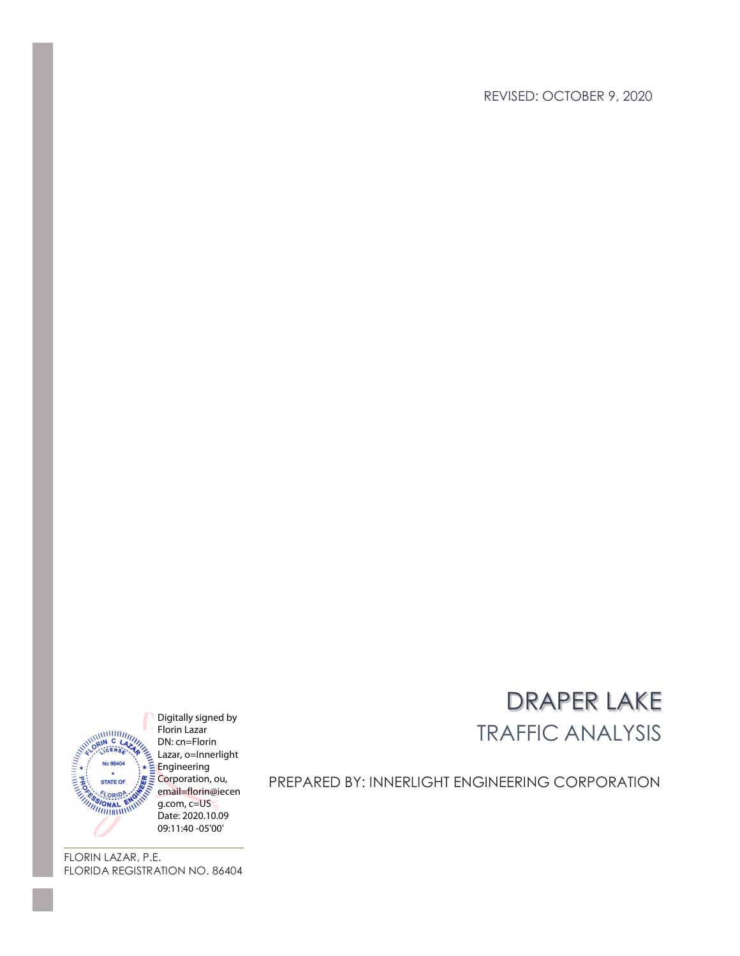REVISED: OCTOBER 9, 2020



Digitally signed by Florin Lazar DN: cn=Florin Lazar, o=Innerlight  $E$  Engineering Corporation, ou, email=florin@iecen g.com, c=US Date: 2020.10.09

# DRAPER LAKE TRAFFIC ANALYSIS

PREPARED BY: INNERLIGHT ENGINEERING CORPORATION

FLORIN LAZAR, P.E. FLORIDA REGISTRATION NO. 86404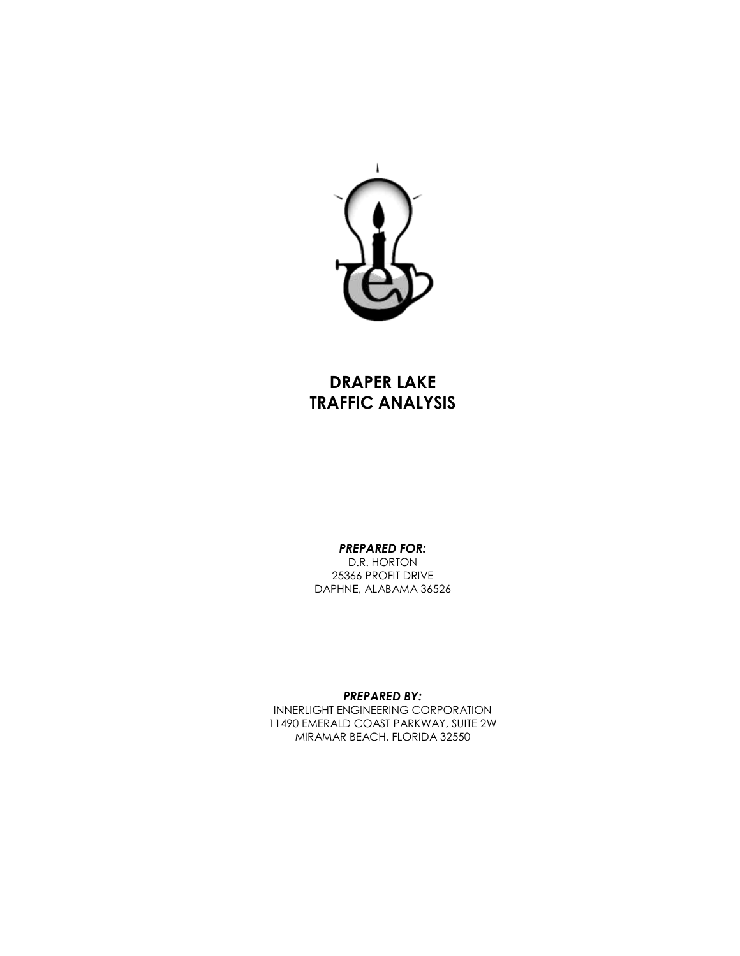

# **DRAPER LAKE TRAFFIC ANALYSIS**

#### *PREPARED FOR:*

D.R. HORTON 25366 PROFIT DRIVE DAPHNE, ALABAMA 36526

*PREPARED BY:*

INNERLIGHT ENGINEERING CORPORATION 11490 EMERALD COAST PARKWAY, SUITE 2W MIRAMAR BEACH, FLORIDA 32550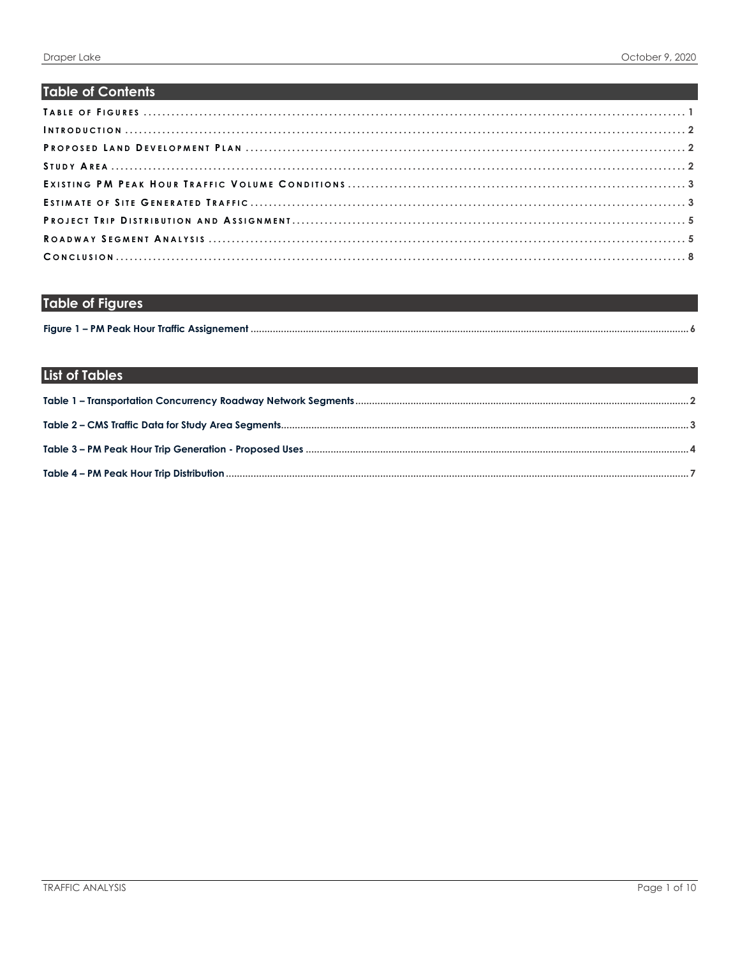## **Table of Contents**

# <span id="page-2-0"></span>**Table of Figures**

|  | Figure 1 - PM Peak Hour Traffic Assignement. |  |
|--|----------------------------------------------|--|

# List of Tables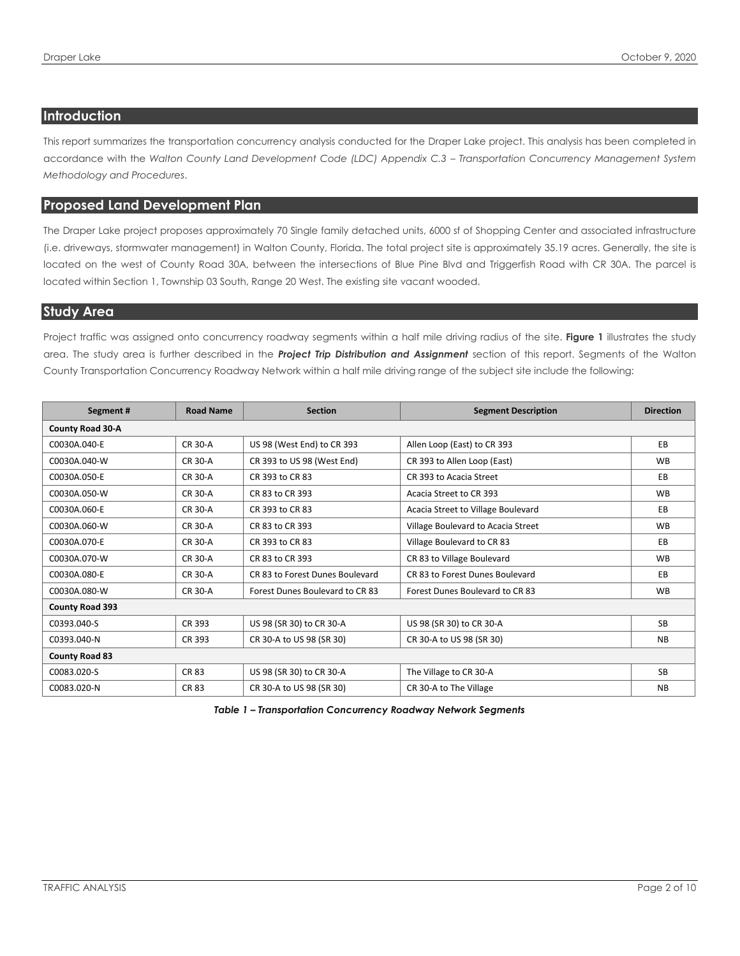#### <span id="page-3-0"></span>**Introduction**

This report summarizes the transportation concurrency analysis conducted for the Draper Lake project. This analysis has been completed in accordance with the Walton County Land Development Code (LDC) Appendix C.3 - Transportation Concurrency Management System *Methodology and Procedures*.

#### <span id="page-3-1"></span>**Proposed Land Development Plan**

The Draper Lake project proposes approximately 70 Single family detached units, 6000 sf of Shopping Center and associated infrastructure (i.e. driveways, stormwater management) in Walton County, Florida. The total project site is approximately 35.19 acres. Generally, the site is located on the west of County Road 30A, between the intersections of Blue Pine Blvd and Triggerfish Road with CR 30A. The parcel is located within Section 1, Township 03 South, Range 20 West. The existing site vacant wooded.

#### <span id="page-3-2"></span>**Study Area**

Project traffic was assigned onto concurrency roadway segments within a half mile driving radius of the site. **Figure 1** illustrates the study area. The study area is further described in the *Project Trip Distribution and Assignment* section of this report. Segments of the Walton County Transportation Concurrency Roadway Network within a half mile driving range of the subject site include the following:

| Segment#                | <b>Road Name</b> | <b>Section</b>                  | <b>Segment Description</b>         | <b>Direction</b> |
|-------------------------|------------------|---------------------------------|------------------------------------|------------------|
| <b>County Road 30-A</b> |                  |                                 |                                    |                  |
| C0030A.040-E            | <b>CR 30-A</b>   | US 98 (West End) to CR 393      | Allen Loop (East) to CR 393        | EB               |
| C0030A.040-W            | <b>CR 30-A</b>   | CR 393 to US 98 (West End)      | CR 393 to Allen Loop (East)        | <b>WB</b>        |
| C0030A.050-E            | <b>CR 30-A</b>   | CR 393 to CR 83                 | CR 393 to Acacia Street            | <b>EB</b>        |
| C0030A.050-W            | <b>CR 30-A</b>   | CR 83 to CR 393                 | Acacia Street to CR 393            | <b>WB</b>        |
| C0030A.060-E            | <b>CR 30-A</b>   | CR 393 to CR 83                 | Acacia Street to Village Boulevard | EB               |
| C0030A.060-W            | <b>CR 30-A</b>   | CR 83 to CR 393                 | Village Boulevard to Acacia Street | <b>WB</b>        |
| C0030A.070-E            | <b>CR 30-A</b>   | CR 393 to CR 83                 | Village Boulevard to CR 83         | <b>EB</b>        |
| C0030A.070-W            | <b>CR 30-A</b>   | CR 83 to CR 393                 | CR 83 to Village Boulevard         | <b>WB</b>        |
| C0030A.080-E            | <b>CR 30-A</b>   | CR 83 to Forest Dunes Boulevard | CR 83 to Forest Dunes Boulevard    | EB               |
| C0030A.080-W            | <b>CR 30-A</b>   | Forest Dunes Boulevard to CR 83 | Forest Dunes Boulevard to CR 83    | <b>WB</b>        |
| <b>County Road 393</b>  |                  |                                 |                                    |                  |
| C0393.040-S             | CR 393           | US 98 (SR 30) to CR 30-A        | US 98 (SR 30) to CR 30-A           | <b>SB</b>        |
| C0393.040-N             | CR 393           | CR 30-A to US 98 (SR 30)        | CR 30-A to US 98 (SR 30)           | <b>NB</b>        |
| <b>County Road 83</b>   |                  |                                 |                                    |                  |
| C0083.020-S             | <b>CR 83</b>     | US 98 (SR 30) to CR 30-A        | The Village to CR 30-A             | <b>SB</b>        |
| C0083.020-N             | <b>CR 83</b>     | CR 30-A to US 98 (SR 30)        | CR 30-A to The Village             | <b>NB</b>        |

<span id="page-3-3"></span>*Table 1 – Transportation Concurrency Roadway Network Segments*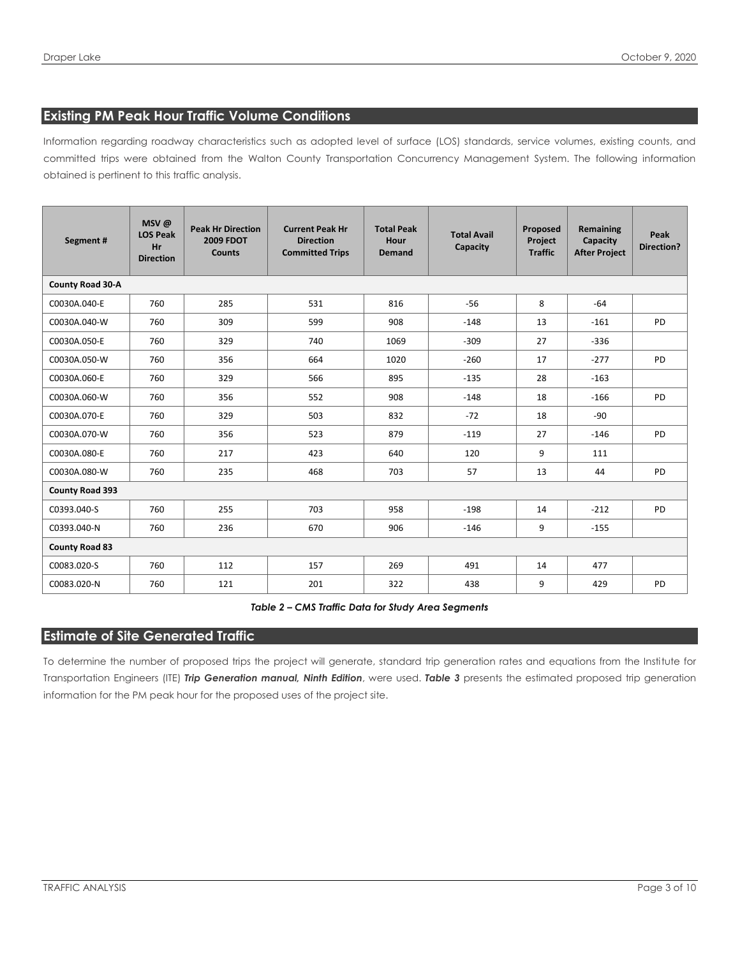### <span id="page-4-0"></span>**Existing PM Peak Hour Traffic Volume Conditions**

Information regarding roadway characteristics such as adopted level of surface (LOS) standards, service volumes, existing counts, and committed trips were obtained from the Walton County Transportation Concurrency Management System. The following information obtained is pertinent to this traffic analysis.

| Segment#               | MSV@<br><b>LOS Peak</b><br>Hr<br><b>Direction</b> | <b>Peak Hr Direction</b><br><b>2009 FDOT</b><br><b>Counts</b> | <b>Current Peak Hr</b><br><b>Direction</b><br><b>Committed Trips</b> | <b>Total Peak</b><br>Hour<br><b>Demand</b> | <b>Total Avail</b><br>Capacity | Proposed<br>Project<br><b>Traffic</b> | Remaining<br>Capacity<br><b>After Project</b> | Peak<br>Direction? |  |
|------------------------|---------------------------------------------------|---------------------------------------------------------------|----------------------------------------------------------------------|--------------------------------------------|--------------------------------|---------------------------------------|-----------------------------------------------|--------------------|--|
| County Road 30-A       |                                                   |                                                               |                                                                      |                                            |                                |                                       |                                               |                    |  |
| C0030A.040-E           | 760                                               | 285                                                           | 531                                                                  | 816                                        | $-56$                          | 8                                     | $-64$                                         |                    |  |
| C0030A.040-W           | 760                                               | 309                                                           | 599                                                                  | 908                                        | $-148$                         | 13                                    | $-161$                                        | PD                 |  |
| C0030A.050-E           | 760                                               | 329                                                           | 740                                                                  | 1069                                       | $-309$                         | 27                                    | $-336$                                        |                    |  |
| C0030A.050-W           | 760                                               | 356                                                           | 664                                                                  | 1020                                       | $-260$                         | 17                                    | $-277$                                        | PD                 |  |
| C0030A.060-E           | 760                                               | 329                                                           | 566                                                                  | 895                                        | $-135$                         | 28                                    | $-163$                                        |                    |  |
| C0030A.060-W           | 760                                               | 356                                                           | 552                                                                  | 908                                        | $-148$                         | 18                                    | $-166$                                        | PD                 |  |
| C0030A.070-E           | 760                                               | 329                                                           | 503                                                                  | 832                                        | $-72$                          | 18                                    | -90                                           |                    |  |
| C0030A.070-W           | 760                                               | 356                                                           | 523                                                                  | 879                                        | $-119$                         | 27                                    | $-146$                                        | <b>PD</b>          |  |
| C0030A.080-E           | 760                                               | 217                                                           | 423                                                                  | 640                                        | 120                            | 9                                     | 111                                           |                    |  |
| C0030A.080-W           | 760                                               | 235                                                           | 468                                                                  | 703                                        | 57                             | 13                                    | 44                                            | <b>PD</b>          |  |
| <b>County Road 393</b> |                                                   |                                                               |                                                                      |                                            |                                |                                       |                                               |                    |  |
| C0393.040-S            | 760                                               | 255                                                           | 703                                                                  | 958                                        | $-198$                         | 14                                    | $-212$                                        | <b>PD</b>          |  |
| C0393.040-N            | 760                                               | 236                                                           | 670                                                                  | 906                                        | $-146$                         | 9                                     | $-155$                                        |                    |  |
| <b>County Road 83</b>  |                                                   |                                                               |                                                                      |                                            |                                |                                       |                                               |                    |  |
| C0083.020-S            | 760                                               | 112                                                           | 157                                                                  | 269                                        | 491                            | 14                                    | 477                                           |                    |  |
| C0083.020-N            | 760                                               | 121                                                           | 201                                                                  | 322                                        | 438                            | 9                                     | 429                                           | PD                 |  |

*Table 2 – CMS Traffic Data for Study Area Segments*

#### <span id="page-4-2"></span><span id="page-4-1"></span>**Estimate of Site Generated Traffic**

To determine the number of proposed trips the project will generate, standard trip generation rates and equations from the Institute for Transportation Engineers (ITE) *Trip Generation manual, Ninth Edition*, were used. *Table 3* presents the estimated proposed trip generation information for the PM peak hour for the proposed uses of the project site.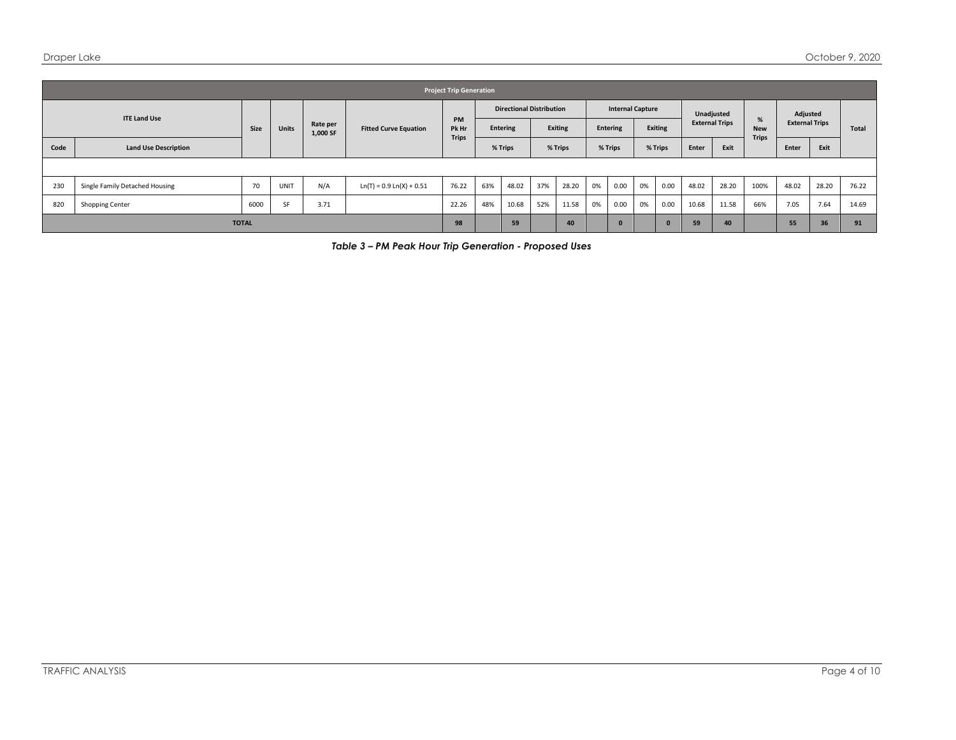|                     | <b>Project Trip Generation</b> |      |              |                      |                              |                    |                                 |         |                |                         |                 |      |                |            |                       |       |                 |                       |       |       |
|---------------------|--------------------------------|------|--------------|----------------------|------------------------------|--------------------|---------------------------------|---------|----------------|-------------------------|-----------------|------|----------------|------------|-----------------------|-------|-----------------|-----------------------|-------|-------|
| <b>ITE Land Use</b> |                                |      |              |                      | <b>Fitted Curve Equation</b> |                    | <b>Directional Distribution</b> |         |                | <b>Internal Capture</b> |                 |      |                | Unadjusted |                       |       | Adjusted        |                       |       |       |
|                     |                                | Size | <b>Units</b> | Rate per<br>1,000 SF |                              | <b>PM</b><br>Pk Hr | Entering                        |         | <b>Exiting</b> |                         | <b>Entering</b> |      | <b>Exiting</b> |            | <b>External Trips</b> |       | %<br><b>New</b> | <b>External Trips</b> |       | Total |
| Code                | <b>Land Use Description</b>    |      |              |                      |                              | <b>Trips</b>       |                                 | % Trips | % Trips        |                         | % Trips         |      | % Trips        |            | Enter                 | Exit  | <b>Trips</b>    | Enter                 | Exit  |       |
|                     |                                |      |              |                      |                              |                    |                                 |         |                |                         |                 |      |                |            |                       |       |                 |                       |       |       |
| 230                 | Single Family Detached Housing | 70   | <b>UNIT</b>  | N/A                  | $Ln(T) = 0.9 Ln(X) + 0.51$   | 76.22              | 63%                             | 48.02   | 37%            | 28.20                   | 0%              | 0.00 | 0%             | 0.00       | 48.02                 | 28.20 | 100%            | 48.02                 | 28.20 | 76.22 |
| 820                 | Shopping Center                | 6000 | SF           | 3.71                 |                              | 22.26              | 48%                             | 10.68   | 52%            | 11.58                   | 0%              | 0.00 | 0%             | 0.00       | 10.68                 | 11.58 | 66%             | 7.05                  | 7.64  | 14.69 |
|                     | <b>TOTAL</b>                   |      |              |                      |                              |                    |                                 | 59      |                | 40                      |                 |      |                | 0          | 59                    | 40    |                 | 55                    | 36    | 91    |

<span id="page-5-0"></span>*Table 3 – PM Peak Hour Trip Generation - Proposed Uses*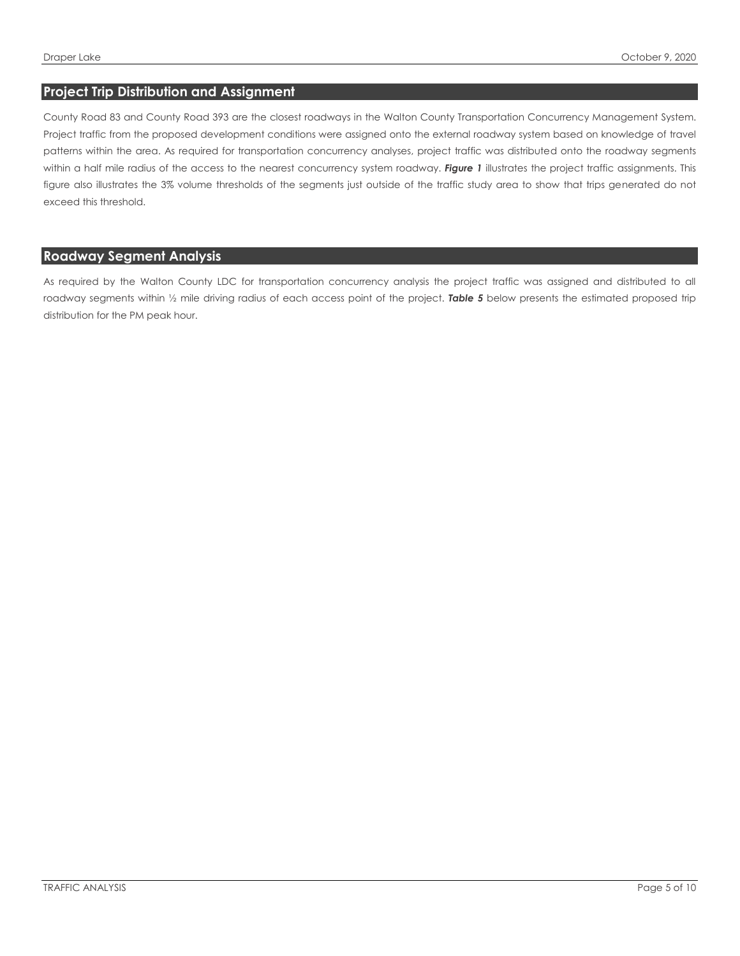#### <span id="page-6-0"></span>**Project Trip Distribution and Assignment**

County Road 83 and County Road 393 are the closest roadways in the Walton County Transportation Concurrency Management System. Project traffic from the proposed development conditions were assigned onto the external roadway system based on knowledge of travel patterns within the area. As required for transportation concurrency analyses, project traffic was distributed onto the roadway segments within a half mile radius of the access to the nearest concurrency system roadway. Figure 1 illustrates the project traffic assignments. This figure also illustrates the 3% volume thresholds of the segments just outside of the traffic study area to show that trips generated do not exceed this threshold.

### <span id="page-6-1"></span>**Roadway Segment Analysis**

As required by the Walton County LDC for transportation concurrency analysis the project traffic was assigned and distributed to all roadway segments within 1/2 mile driving radius of each access point of the project. Table 5 below presents the estimated proposed trip distribution for the PM peak hour.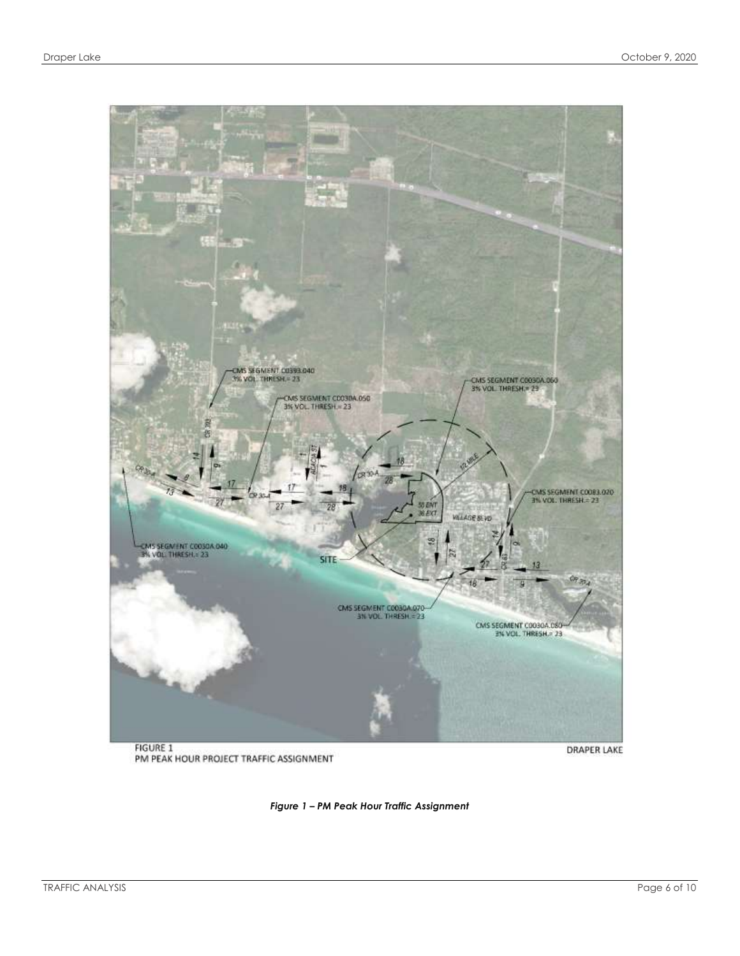

<span id="page-7-0"></span>PM PEAK HOUR PROJECT TRAFFIC ASSIGNMENT

**DRAPER LAKE** 

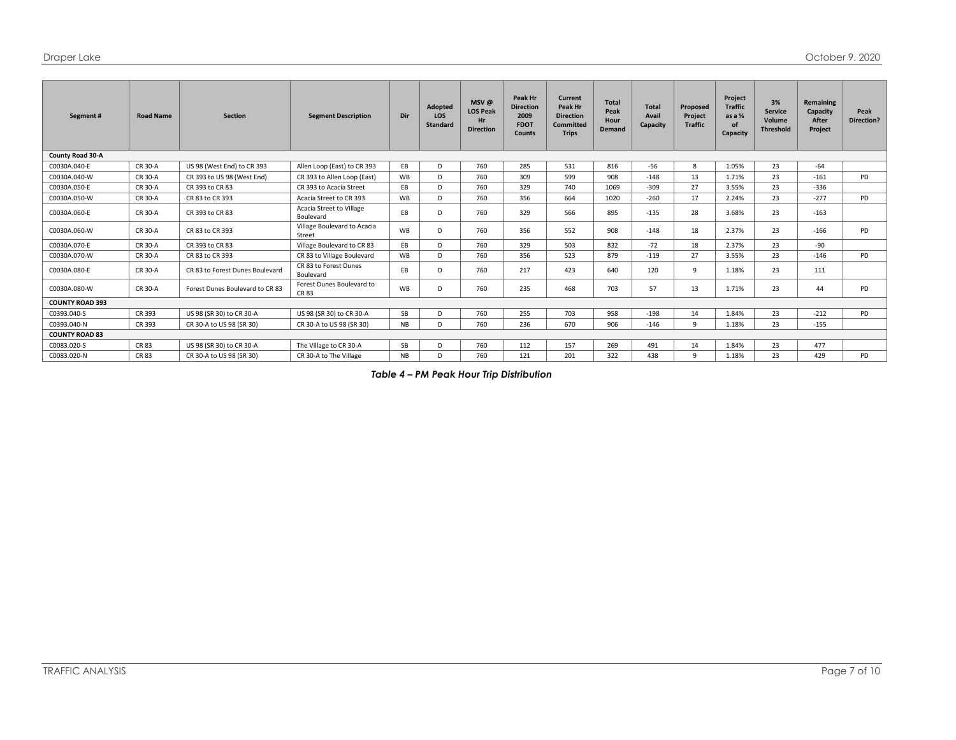| Segment#               | <b>Road Name</b> | <b>Section</b>                  | <b>Segment Description</b>            | Dir       | Adopted<br><b>LOS</b><br><b>Standard</b> | $MSV$ @<br><b>LOS Peak</b><br>Hr<br><b>Direction</b> | Peak Hr<br><b>Direction</b><br>2009<br><b>FDOT</b><br><b>Counts</b> | Current<br>Peak Hr<br><b>Direction</b><br>Committed<br><b>Trips</b> | <b>Total</b><br>Peak<br>Hour<br><b>Demand</b> | <b>Total</b><br>Avail<br>Capacity | Proposed<br>Project<br><b>Traffic</b> | Project<br><b>Traffic</b><br>as a %<br><b>of</b><br>Capacity | 3%<br><b>Service</b><br>Volume<br><b>Threshold</b> | Remaining<br>Capacity<br>After<br>Project | Peak<br><b>Direction?</b> |
|------------------------|------------------|---------------------------------|---------------------------------------|-----------|------------------------------------------|------------------------------------------------------|---------------------------------------------------------------------|---------------------------------------------------------------------|-----------------------------------------------|-----------------------------------|---------------------------------------|--------------------------------------------------------------|----------------------------------------------------|-------------------------------------------|---------------------------|
| County Road 30-A       |                  |                                 |                                       |           |                                          |                                                      |                                                                     |                                                                     |                                               |                                   |                                       |                                                              |                                                    |                                           |                           |
| C0030A.040-E           | CR 30-A          | US 98 (West End) to CR 393      | Allen Loop (East) to CR 393           | EB        | D                                        | 760                                                  | 285                                                                 | 531                                                                 | 816                                           | $-56$                             | 8                                     | 1.05%                                                        | 23                                                 | $-64$                                     |                           |
| C0030A.040-W           | CR 30-A          | CR 393 to US 98 (West End)      | CR 393 to Allen Loop (East)           | WB        | D                                        | 760                                                  | 309                                                                 | 599                                                                 | 908                                           | $-148$                            | 13                                    | 1.71%                                                        | 23                                                 | $-161$                                    | PD                        |
| C0030A.050-E           | CR 30-A          | CR 393 to CR 83                 | CR 393 to Acacia Street               | EB        | D                                        | 760                                                  | 329                                                                 | 740                                                                 | 1069                                          | $-309$                            | 27                                    | 3.55%                                                        | 23                                                 | $-336$                                    |                           |
| C0030A.050-W           | CR 30-A          | CR 83 to CR 393                 | Acacia Street to CR 393               | WB        | D                                        | 760                                                  | 356                                                                 | 664                                                                 | 1020                                          | $-260$                            | 17                                    | 2.24%                                                        | 23                                                 | $-277$                                    | PD                        |
| C0030A.060-E           | CR 30-A          | CR 393 to CR 83                 | Acacia Street to Village<br>Boulevard | EB        | D                                        | 760                                                  | 329                                                                 | 566                                                                 | 895                                           | $-135$                            | 28                                    | 3.68%                                                        | 23                                                 | $-163$                                    |                           |
| C0030A.060-W           | CR 30-A          | CR 83 to CR 393                 | Village Boulevard to Acacia<br>Street | <b>WB</b> | D                                        | 760                                                  | 356                                                                 | 552                                                                 | 908                                           | $-148$                            | 18                                    | 2.37%                                                        | 23                                                 | $-166$                                    | PD                        |
| C0030A.070-E           | CR 30-A          | CR 393 to CR 83                 | Village Boulevard to CR 83            | EB.       | D                                        | 760                                                  | 329                                                                 | 503                                                                 | 832                                           | $-72$                             | 18                                    | 2.37%                                                        | 23                                                 | $-90$                                     |                           |
| C0030A.070-W           | CR 30-A          | CR 83 to CR 393                 | CR 83 to Village Boulevard            | WB        | D                                        | 760                                                  | 356                                                                 | 523                                                                 | 879                                           | $-119$                            | 27                                    | 3.55%                                                        | 23                                                 | $-146$                                    | PD                        |
| C0030A.080-E           | CR 30-A          | CR 83 to Forest Dunes Boulevard | CR 83 to Forest Dunes<br>Boulevard    | EB        | D                                        | 760                                                  | 217                                                                 | 423                                                                 | 640                                           | 120                               | 9                                     | 1.18%                                                        | 23                                                 | 111                                       |                           |
| C0030A.080-W           | CR 30-A          | Forest Dunes Boulevard to CR 83 | Forest Dunes Boulevard to<br>CR 83    | <b>WB</b> | D                                        | 760                                                  | 235                                                                 | 468                                                                 | 703                                           | 57                                | 13                                    | 1.71%                                                        | 23                                                 | 44                                        | PD                        |
| <b>COUNTY ROAD 393</b> |                  |                                 |                                       |           |                                          |                                                      |                                                                     |                                                                     |                                               |                                   |                                       |                                                              |                                                    |                                           |                           |
| C0393.040-S            | CR 393           | US 98 (SR 30) to CR 30-A        | US 98 (SR 30) to CR 30-A              | SB        | D                                        | 760                                                  | 255                                                                 | 703                                                                 | 958                                           | $-198$                            | 14                                    | 1.84%                                                        | 23                                                 | $-212$                                    | PD                        |
| C0393.040-N            | CR 393           | CR 30-A to US 98 (SR 30)        | CR 30-A to US 98 (SR 30)              | <b>NB</b> | D                                        | 760                                                  | 236                                                                 | 670                                                                 | 906                                           | $-146$                            | $\circ$                               | 1.18%                                                        | 23                                                 | $-155$                                    |                           |
| <b>COUNTY ROAD 83</b>  |                  |                                 |                                       |           |                                          |                                                      |                                                                     |                                                                     |                                               |                                   |                                       |                                                              |                                                    |                                           |                           |
| C0083.020-S            | CR 83            | US 98 (SR 30) to CR 30-A        | The Village to CR 30-A                | SB        | D                                        | 760                                                  | 112                                                                 | 157                                                                 | 269                                           | 491                               | 14                                    | 1.84%                                                        | 23                                                 | 477                                       |                           |
| C0083.020-N            | CR 83            | CR 30-A to US 98 (SR 30)        | CR 30-A to The Village                | <b>NB</b> | D                                        | 760                                                  | 121                                                                 | 201                                                                 | 322                                           | 438                               | $\mathbf{q}$                          | 1.18%                                                        | 23                                                 | 429                                       | <b>PD</b>                 |

<span id="page-8-0"></span>*Table 4 – PM Peak Hour Trip Distribution*